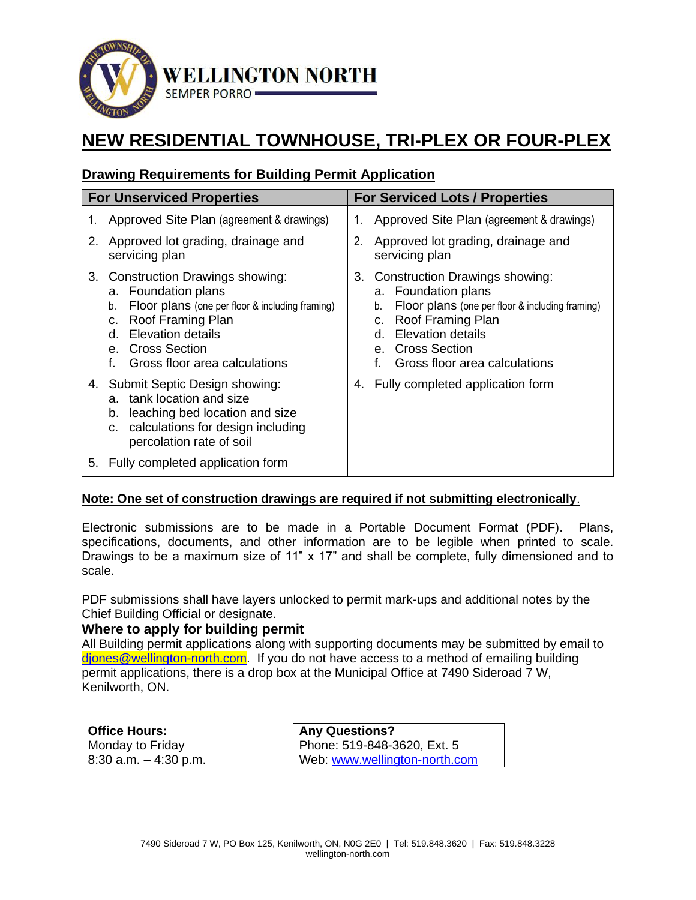

# **NEW RESIDENTIAL TOWNHOUSE, TRI-PLEX OR FOUR-PLEX**

# **Drawing Requirements for Building Permit Application**

| <b>For Unserviced Properties</b> |                                                                                                                                                                                                                                                         | <b>For Serviced Lots / Properties</b> |                                                                                                                                                                                                                                  |
|----------------------------------|---------------------------------------------------------------------------------------------------------------------------------------------------------------------------------------------------------------------------------------------------------|---------------------------------------|----------------------------------------------------------------------------------------------------------------------------------------------------------------------------------------------------------------------------------|
| 1.                               | Approved Site Plan (agreement & drawings)                                                                                                                                                                                                               | 1.                                    | Approved Site Plan (agreement & drawings)                                                                                                                                                                                        |
| 2.                               | Approved lot grading, drainage and<br>servicing plan                                                                                                                                                                                                    | 2.                                    | Approved lot grading, drainage and<br>servicing plan                                                                                                                                                                             |
| 3.                               | <b>Construction Drawings showing:</b><br>a. Foundation plans<br>Floor plans (one per floor & including framing)<br>b.<br>Roof Framing Plan<br>C.<br><b>Elevation details</b><br>d.<br><b>Cross Section</b><br>е.<br>f.<br>Gross floor area calculations | 3.                                    | Construction Drawings showing:<br>a. Foundation plans<br>Floor plans (one per floor & including framing)<br>b.<br>Roof Framing Plan<br>C.<br><b>Elevation details</b><br>d.<br>e. Cross Section<br>Gross floor area calculations |
|                                  | 4. Submit Septic Design showing:<br>tank location and size<br>a.<br>leaching bed location and size<br>b.<br>calculations for design including<br>C.<br>percolation rate of soil                                                                         | 4.                                    | Fully completed application form                                                                                                                                                                                                 |
| 5.                               | Fully completed application form                                                                                                                                                                                                                        |                                       |                                                                                                                                                                                                                                  |

#### **Note: One set of construction drawings are required if not submitting electronically**.

Electronic submissions are to be made in a Portable Document Format (PDF). Plans, specifications, documents, and other information are to be legible when printed to scale. Drawings to be a maximum size of 11" x 17" and shall be complete, fully dimensioned and to scale.

PDF submissions shall have layers unlocked to permit mark-ups and additional notes by the Chief Building Official or designate.

#### **Where to apply for building permit**

All Building permit applications along with supporting documents may be submitted by email to diones@wellington-north.com. If you do not have access to a method of emailing building permit applications, there is a drop box at the Municipal Office at 7490 Sideroad 7 W, Kenilworth, ON.

**Office Hours:**  Monday to Friday 8:30 a.m. – 4:30 p.m.

**Any Questions?**  Phone: 519-848-3620, Ext. 5 Web: [www.wellington-north.com](http://www.wellington-north.com/)